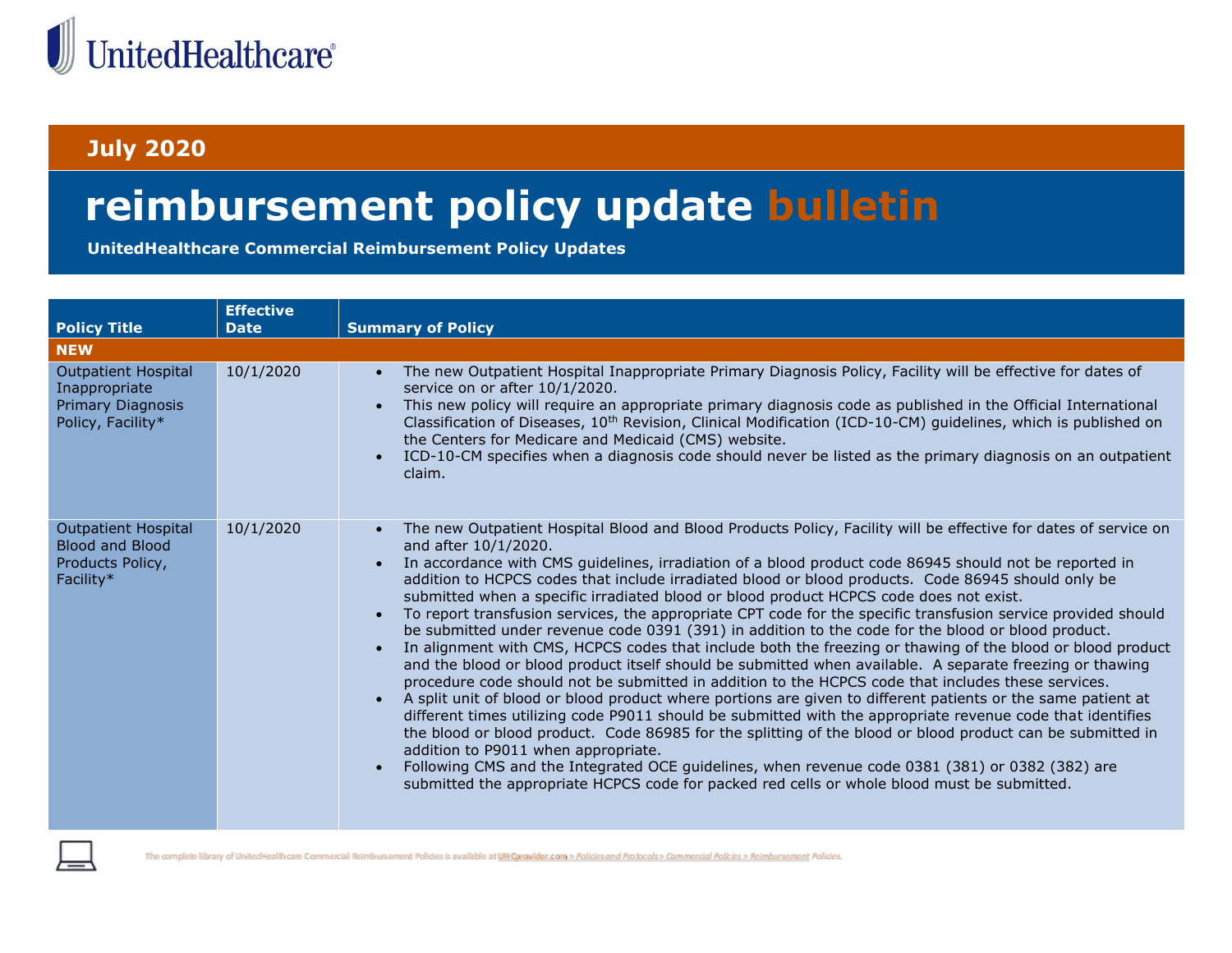

## **July 2020**

## **reimbursement policy update bulletin**

**UnitedHealthcare Commercial Reimbursement Policy Updates**

|                                                                                       | <b>Effective</b> |                                                                                                                                                                                                                                                                                                                                                                                                                                                                                                                                                                                                                                                                                                                                                                                                                                                                                                                                                                                                                                                                                                                                                                                                                                                                                                                                                                                                                                                                                                                                                                                                                         |
|---------------------------------------------------------------------------------------|------------------|-------------------------------------------------------------------------------------------------------------------------------------------------------------------------------------------------------------------------------------------------------------------------------------------------------------------------------------------------------------------------------------------------------------------------------------------------------------------------------------------------------------------------------------------------------------------------------------------------------------------------------------------------------------------------------------------------------------------------------------------------------------------------------------------------------------------------------------------------------------------------------------------------------------------------------------------------------------------------------------------------------------------------------------------------------------------------------------------------------------------------------------------------------------------------------------------------------------------------------------------------------------------------------------------------------------------------------------------------------------------------------------------------------------------------------------------------------------------------------------------------------------------------------------------------------------------------------------------------------------------------|
| <b>Policy Title</b>                                                                   | <b>Date</b>      | <b>Summary of Policy</b>                                                                                                                                                                                                                                                                                                                                                                                                                                                                                                                                                                                                                                                                                                                                                                                                                                                                                                                                                                                                                                                                                                                                                                                                                                                                                                                                                                                                                                                                                                                                                                                                |
| <b>NEW</b>                                                                            |                  |                                                                                                                                                                                                                                                                                                                                                                                                                                                                                                                                                                                                                                                                                                                                                                                                                                                                                                                                                                                                                                                                                                                                                                                                                                                                                                                                                                                                                                                                                                                                                                                                                         |
| <b>Outpatient Hospital</b><br>Inappropriate<br>Primary Diagnosis<br>Policy, Facility* | 10/1/2020        | The new Outpatient Hospital Inappropriate Primary Diagnosis Policy, Facility will be effective for dates of<br>service on or after 10/1/2020.<br>This new policy will require an appropriate primary diagnosis code as published in the Official International<br>Classification of Diseases, 10 <sup>th</sup> Revision, Clinical Modification (ICD-10-CM) guidelines, which is published on<br>the Centers for Medicare and Medicaid (CMS) website.<br>ICD-10-CM specifies when a diagnosis code should never be listed as the primary diagnosis on an outpatient<br>claim.                                                                                                                                                                                                                                                                                                                                                                                                                                                                                                                                                                                                                                                                                                                                                                                                                                                                                                                                                                                                                                            |
| <b>Outpatient Hospital</b><br><b>Blood and Blood</b><br>Products Policy,<br>Facility* | 10/1/2020        | The new Outpatient Hospital Blood and Blood Products Policy, Facility will be effective for dates of service on<br>and after 10/1/2020.<br>In accordance with CMS guidelines, irradiation of a blood product code 86945 should not be reported in<br>$\bullet$<br>addition to HCPCS codes that include irradiated blood or blood products. Code 86945 should only be<br>submitted when a specific irradiated blood or blood product HCPCS code does not exist.<br>To report transfusion services, the appropriate CPT code for the specific transfusion service provided should<br>$\bullet$<br>be submitted under revenue code 0391 (391) in addition to the code for the blood or blood product.<br>In alignment with CMS, HCPCS codes that include both the freezing or thawing of the blood or blood product<br>and the blood or blood product itself should be submitted when available. A separate freezing or thawing<br>procedure code should not be submitted in addition to the HCPCS code that includes these services.<br>A split unit of blood or blood product where portions are given to different patients or the same patient at<br>different times utilizing code P9011 should be submitted with the appropriate revenue code that identifies<br>the blood or blood product. Code 86985 for the splitting of the blood or blood product can be submitted in<br>addition to P9011 when appropriate.<br>Following CMS and the Integrated OCE guidelines, when revenue code 0381 (381) or 0382 (382) are<br>submitted the appropriate HCPCS code for packed red cells or whole blood must be submitted. |

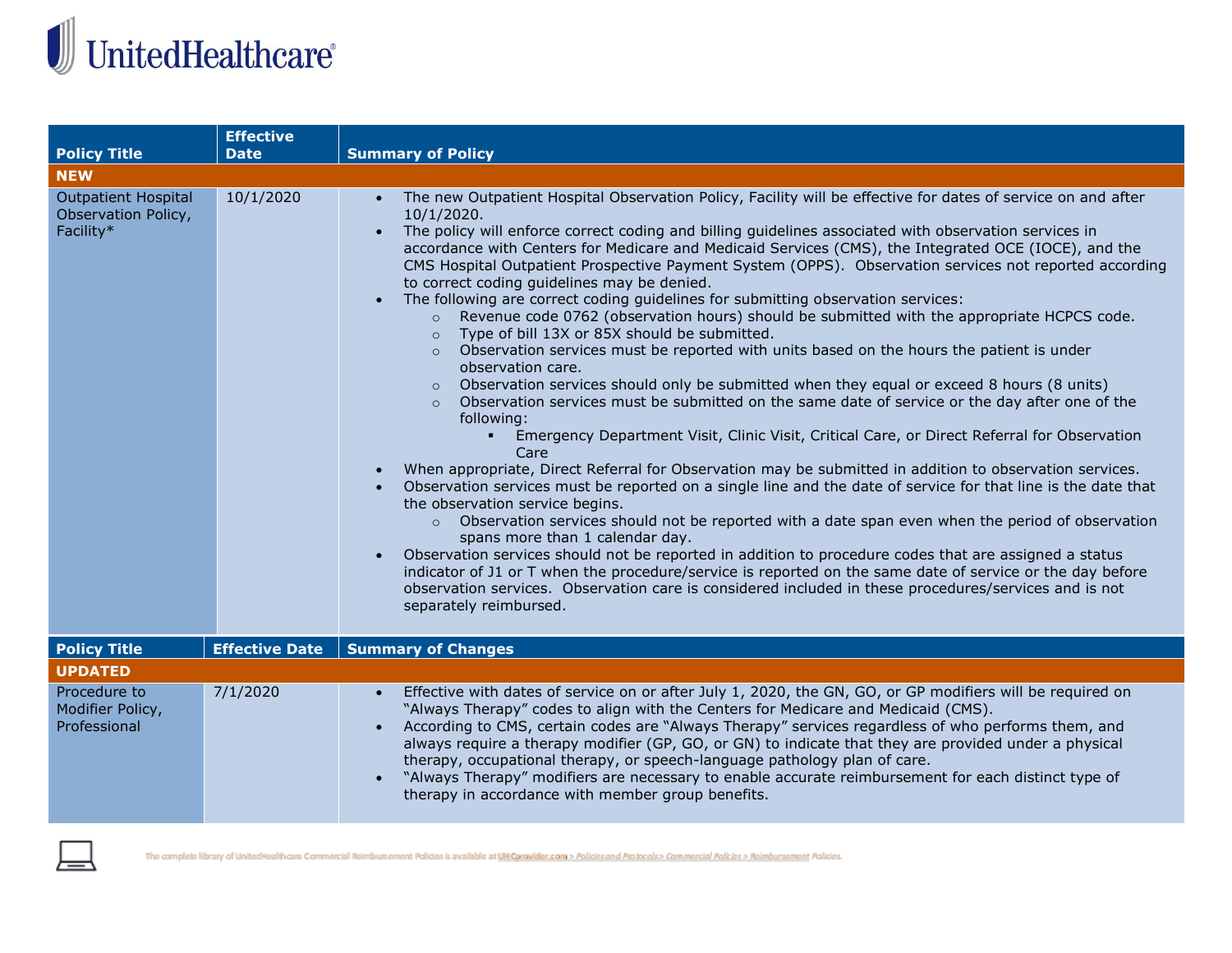## $\begin{array}{c} \hline \hline \end{array}$  United<br>Healthcare®

|                                                                | <b>Effective</b>      |                                                                                                                                                                                                                                                                                                                                                                                                                                                                                                                                                                                                                                                                                                                                                                                                                                                                                                                                                                                                                                                                                                                                                                                                                                                                                                                                                                                                                                                                                                                                                                                                                                                                                                                                                                                                                                                                                                                                                                                                                           |
|----------------------------------------------------------------|-----------------------|---------------------------------------------------------------------------------------------------------------------------------------------------------------------------------------------------------------------------------------------------------------------------------------------------------------------------------------------------------------------------------------------------------------------------------------------------------------------------------------------------------------------------------------------------------------------------------------------------------------------------------------------------------------------------------------------------------------------------------------------------------------------------------------------------------------------------------------------------------------------------------------------------------------------------------------------------------------------------------------------------------------------------------------------------------------------------------------------------------------------------------------------------------------------------------------------------------------------------------------------------------------------------------------------------------------------------------------------------------------------------------------------------------------------------------------------------------------------------------------------------------------------------------------------------------------------------------------------------------------------------------------------------------------------------------------------------------------------------------------------------------------------------------------------------------------------------------------------------------------------------------------------------------------------------------------------------------------------------------------------------------------------------|
| <b>Policy Title</b>                                            | <b>Date</b>           | <b>Summary of Policy</b>                                                                                                                                                                                                                                                                                                                                                                                                                                                                                                                                                                                                                                                                                                                                                                                                                                                                                                                                                                                                                                                                                                                                                                                                                                                                                                                                                                                                                                                                                                                                                                                                                                                                                                                                                                                                                                                                                                                                                                                                  |
| <b>NEW</b>                                                     |                       |                                                                                                                                                                                                                                                                                                                                                                                                                                                                                                                                                                                                                                                                                                                                                                                                                                                                                                                                                                                                                                                                                                                                                                                                                                                                                                                                                                                                                                                                                                                                                                                                                                                                                                                                                                                                                                                                                                                                                                                                                           |
| <b>Outpatient Hospital</b><br>Observation Policy,<br>Facility* | 10/1/2020             | • The new Outpatient Hospital Observation Policy, Facility will be effective for dates of service on and after<br>10/1/2020.<br>The policy will enforce correct coding and billing guidelines associated with observation services in<br>$\bullet$<br>accordance with Centers for Medicare and Medicaid Services (CMS), the Integrated OCE (IOCE), and the<br>CMS Hospital Outpatient Prospective Payment System (OPPS). Observation services not reported according<br>to correct coding quidelines may be denied.<br>The following are correct coding guidelines for submitting observation services:<br>$\bullet$<br>Revenue code 0762 (observation hours) should be submitted with the appropriate HCPCS code.<br>$\circ$<br>Type of bill 13X or 85X should be submitted.<br>$\circ$<br>$\circ$ Observation services must be reported with units based on the hours the patient is under<br>observation care.<br>Observation services should only be submitted when they equal or exceed 8 hours (8 units)<br>Observation services must be submitted on the same date of service or the day after one of the<br>following:<br>Emergency Department Visit, Clinic Visit, Critical Care, or Direct Referral for Observation<br>٠.<br>Care<br>When appropriate, Direct Referral for Observation may be submitted in addition to observation services.<br>Observation services must be reported on a single line and the date of service for that line is the date that<br>the observation service begins.<br>o Observation services should not be reported with a date span even when the period of observation<br>spans more than 1 calendar day.<br>Observation services should not be reported in addition to procedure codes that are assigned a status<br>$\bullet$<br>indicator of J1 or T when the procedure/service is reported on the same date of service or the day before<br>observation services. Observation care is considered included in these procedures/services and is not<br>separately reimbursed. |
| <b>Policy Title</b>                                            | <b>Effective Date</b> | <b>Summary of Changes</b>                                                                                                                                                                                                                                                                                                                                                                                                                                                                                                                                                                                                                                                                                                                                                                                                                                                                                                                                                                                                                                                                                                                                                                                                                                                                                                                                                                                                                                                                                                                                                                                                                                                                                                                                                                                                                                                                                                                                                                                                 |
| <b>UPDATED</b>                                                 |                       |                                                                                                                                                                                                                                                                                                                                                                                                                                                                                                                                                                                                                                                                                                                                                                                                                                                                                                                                                                                                                                                                                                                                                                                                                                                                                                                                                                                                                                                                                                                                                                                                                                                                                                                                                                                                                                                                                                                                                                                                                           |
| Procedure to<br>Modifier Policy,<br>Professional               | 7/1/2020              | Effective with dates of service on or after July 1, 2020, the GN, GO, or GP modifiers will be required on<br>$\bullet$<br>"Always Therapy" codes to align with the Centers for Medicare and Medicaid (CMS).<br>According to CMS, certain codes are "Always Therapy" services regardless of who performs them, and<br>always require a therapy modifier (GP, GO, or GN) to indicate that they are provided under a physical<br>therapy, occupational therapy, or speech-language pathology plan of care.<br>"Always Therapy" modifiers are necessary to enable accurate reimbursement for each distinct type of<br>therapy in accordance with member group benefits.                                                                                                                                                                                                                                                                                                                                                                                                                                                                                                                                                                                                                                                                                                                                                                                                                                                                                                                                                                                                                                                                                                                                                                                                                                                                                                                                                       |